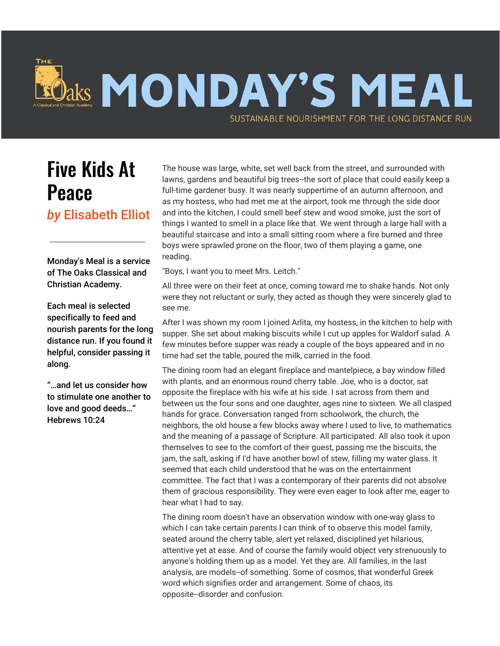## Jaks MONDAY'S MEAL SUSTAINABLE NOURISHMENT FOR THE LONG DISTANCE RUN

## Five Kids At Peace

*by* Elisabeth Elliot

Monday's Meal is a service of The Oaks Classical and Christian Academy.

Each meal is selected specifically to feed and nourish parents for the long distance run. If you found it helpful, consider passing it along.

"…and let us consider how to stimulate one another to love and good deeds…" Hebrews 10:24

The house was large, white, set well back from the street, and surrounded with lawns, gardens and beautiful big trees--the sort of place that could easily keep a full-time gardener busy. It was nearly suppertime of an autumn afternoon, and as my hostess, who had met me at the airport, took me through the side door and into the kitchen, I could smell beef stew and wood smoke, just the sort of things I wanted to smell in a place like that. We went through a large hall with a beautiful staircase and into a small sitting room where a fire burned and three boys were sprawled prone on the floor, two of them playing a game, one reading.

"Boys, I want you to meet Mrs. Leitch."

All three were on their feet at once, coming toward me to shake hands. Not only were they not reluctant or surly, they acted as though they were sincerely glad to see me.

After I was shown my room I joined Arlita, my hostess, in the kitchen to help with supper. She set about making biscuits while I cut up apples for Waldorf salad. A few minutes before supper was ready a couple of the boys appeared and in no time had set the table, poured the milk, carried in the food.

The dining room had an elegant fireplace and mantelpiece, a bay window filled with plants, and an enormous round cherry table. Joe, who is a doctor, sat opposite the fireplace with his wife at his side. I sat across from them and between us the four sons and one daughter, ages nine to sixteen. We all clasped hands for grace. Conversation ranged from schoolwork, the church, the neighbors, the old house a few blocks away where I used to live, to mathematics and the meaning of a passage of Scripture. All participated. All also took it upon themselves to see to the comfort of their guest, passing me the biscuits, the jam, the salt, asking if I'd have another bowl of stew, filling my water glass. It seemed that each child understood that he was on the entertainment committee. The fact that I was a contemporary of their parents did not absolve them of gracious responsibility. They were even eager to look after me, eager to hear what I had to say.

The dining room doesn't have an observation window with one-way glass to which I can take certain parents I can think of to observe this model family, seated around the cherry table, alert yet relaxed, disciplined yet hilarious, attentive yet at ease. And of course the family would object very strenuously to anyone's holding them up as a model. Yet they are. All families, in the last analysis, are models--of something. Some of cosmos, that wonderful Greek word which signifies order and arrangement. Some of chaos, its opposite--disorder and confusion.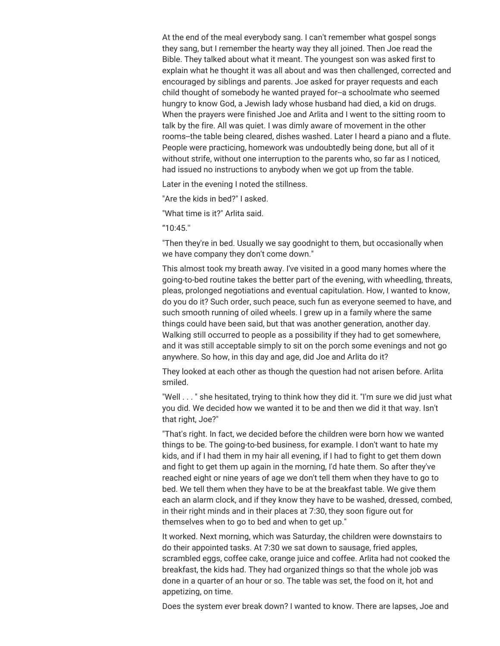At the end of the meal everybody sang. I can't remember what gospel songs they sang, but I remember the hearty way they all joined. Then Joe read the Bible. They talked about what it meant. The youngest son was asked first to explain what he thought it was all about and was then challenged, corrected and encouraged by siblings and parents. Joe asked for prayer requests and each child thought of somebody he wanted prayed for--a schoolmate who seemed hungry to know God, a Jewish lady whose husband had died, a kid on drugs. When the prayers were finished Joe and Arlita and I went to the sitting room to talk by the fire. All was quiet. I was dimly aware of movement in the other rooms--the table being cleared, dishes washed. Later I heard a piano and a flute. People were practicing, homework was undoubtedly being done, but all of it without strife, without one interruption to the parents who, so far as I noticed, had issued no instructions to anybody when we got up from the table.

Later in the evening I noted the stillness.

"Are the kids in bed?" I asked.

"What time is it?" Arlita said.

"10:45.''

"Then they're in bed. Usually we say goodnight to them, but occasionally when we have company they don't come down."

This almost took my breath away. I've visited in a good many homes where the going-to-bed routine takes the better part of the evening, with wheedling, threats, pleas, prolonged negotiations and eventual capitulation. How, I wanted to know, do you do it? Such order, such peace, such fun as everyone seemed to have, and such smooth running of oiled wheels. I grew up in a family where the same things could have been said, but that was another generation, another day. Walking still occurred to people as a possibility if they had to get somewhere, and it was still acceptable simply to sit on the porch some evenings and not go anywhere. So how, in this day and age, did Joe and Arlita do it?

They looked at each other as though the question had not arisen before. Arlita smiled.

"Well . . . " she hesitated, trying to think how they did it. "I'm sure we did just what you did. We decided how we wanted it to be and then we did it that way. Isn't that right, Joe?"

"That's right. In fact, we decided before the children were born how we wanted things to be. The going-to-bed business, for example. I don't want to hate my kids, and if I had them in my hair all evening, if I had to fight to get them down and fight to get them up again in the morning, I'd hate them. So after they've reached eight or nine years of age we don't tell them when they have to go to bed. We tell them when they have to be at the breakfast table. We give them each an alarm clock, and if they know they have to be washed, dressed, combed, in their right minds and in their places at 7:30, they soon figure out for themselves when to go to bed and when to get up."

It worked. Next morning, which was Saturday, the children were downstairs to do their appointed tasks. At 7:30 we sat down to sausage, fried apples, scrambled eggs, coffee cake, orange juice and coffee. Arlita had not cooked the breakfast, the kids had. They had organized things so that the whole job was done in a quarter of an hour or so. The table was set, the food on it, hot and appetizing, on time.

Does the system ever break down? I wanted to know. There are lapses, Joe and